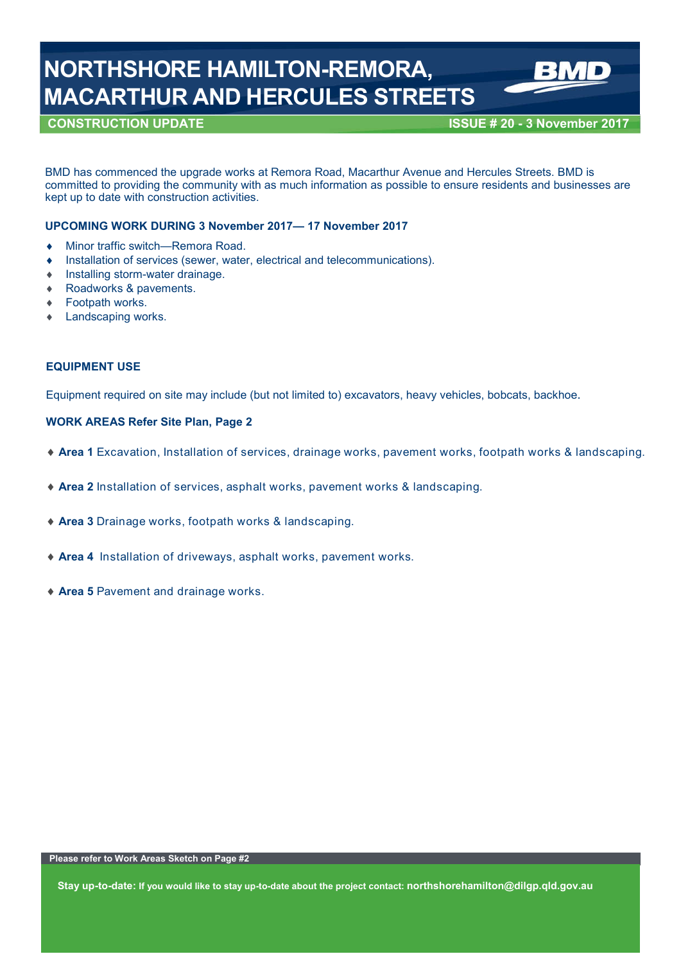# **NORTHSHORE HAMILTON-REMORA, MACARTHUR AND HERCULES STREETS**

# **CONSTRUCTION UPDATE ISSUE # 20 - 3 November 2017**

BMD has commenced the upgrade works at Remora Road, Macarthur Avenue and Hercules Streets. BMD is committed to providing the community with as much information as possible to ensure residents and businesses are kept up to date with construction activities.

### **UPCOMING WORK DURING 3 November 2017— 17 November 2017**

- Minor traffic switch—Remora Road.
- Installation of services (sewer, water, electrical and telecommunications).
- $\bullet$  Installing storm-water drainage.
- ◆ Roadworks & pavements.
- Footpath works.
- Landscaping works.

#### **EQUIPMENT USE**

Equipment required on site may include (but not limited to) excavators, heavy vehicles, bobcats, backhoe.

## **WORK AREAS Refer Site Plan, Page 2**

- **Area 1** Excavation, Installation of services, drainage works, pavement works, footpath works & landscaping.
- **Area 2** Installation of services, asphalt works, pavement works & landscaping.
- **Area 3** Drainage works, footpath works & landscaping.
- **Area 4** Installation of driveways, asphalt works, pavement works.
- **Area 5** Pavement and drainage works.

**Stay up-to-date: If you would like to stay up-to-date about the project contact: northshorehamilton@dilgp.qld.gov.au**